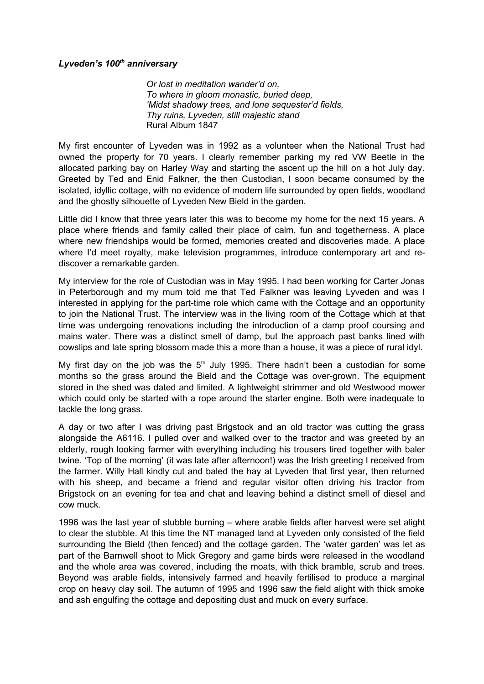## *Lyveden's 100th anniversary*

*Or lost in meditation wander'd on, To where in gloom monastic, buried deep, 'Midst shadowy trees, and lone sequester'd fields, Thy ruins, Lyveden, still majestic stand* Rural Album 1847

My first encounter of Lyveden was in 1992 as a volunteer when the National Trust had owned the property for 70 years. I clearly remember parking my red VW Beetle in the allocated parking bay on Harley Way and starting the ascent up the hill on a hot July day. Greeted by Ted and Enid Falkner, the then Custodian, I soon became consumed by the isolated, idyllic cottage, with no evidence of modern life surrounded by open fields, woodland and the ghostly silhouette of Lyveden New Bield in the garden.

Little did I know that three years later this was to become my home for the next 15 years. A place where friends and family called their place of calm, fun and togetherness. A place where new friendships would be formed, memories created and discoveries made. A place where I'd meet royalty, make television programmes, introduce contemporary art and rediscover a remarkable garden.

My interview for the role of Custodian was in May 1995. I had been working for Carter Jonas in Peterborough and my mum told me that Ted Falkner was leaving Lyveden and was I interested in applying for the part-time role which came with the Cottage and an opportunity to join the National Trust. The interview was in the living room of the Cottage which at that time was undergoing renovations including the introduction of a damp proof coursing and mains water. There was a distinct smell of damp, but the approach past banks lined with cowslips and late spring blossom made this a more than a house, it was a piece of rural idyl.

My first day on the job was the  $5<sup>th</sup>$  July 1995. There hadn't been a custodian for some months so the grass around the Bield and the Cottage was over-grown. The equipment stored in the shed was dated and limited. A lightweight strimmer and old Westwood mower which could only be started with a rope around the starter engine. Both were inadequate to tackle the long grass.

A day or two after I was driving past Brigstock and an old tractor was cutting the grass alongside the A6116. I pulled over and walked over to the tractor and was greeted by an elderly, rough looking farmer with everything including his trousers tired together with baler twine. 'Top of the morning' (it was late after afternoon!) was the Irish greeting I received from the farmer. Willy Hall kindly cut and baled the hay at Lyveden that first year, then returned with his sheep, and became a friend and regular visitor often driving his tractor from Brigstock on an evening for tea and chat and leaving behind a distinct smell of diesel and cow muck.

1996 was the last year of stubble burning – where arable fields after harvest were set alight to clear the stubble. At this time the NT managed land at Lyveden only consisted of the field surrounding the Bield (then fenced) and the cottage garden. The 'water garden' was let as part of the Barnwell shoot to Mick Gregory and game birds were released in the woodland and the whole area was covered, including the moats, with thick bramble, scrub and trees. Beyond was arable fields, intensively farmed and heavily fertilised to produce a marginal crop on heavy clay soil. The autumn of 1995 and 1996 saw the field alight with thick smoke and ash engulfing the cottage and depositing dust and muck on every surface.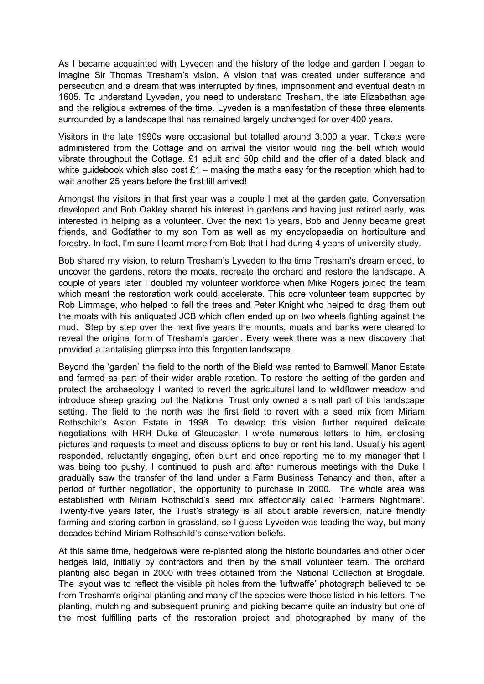As I became acquainted with Lyveden and the history of the lodge and garden I began to imagine Sir Thomas Tresham's vision. A vision that was created under sufferance and persecution and a dream that was interrupted by fines, imprisonment and eventual death in 1605. To understand Lyveden, you need to understand Tresham, the late Elizabethan age and the religious extremes of the time. Lyveden is a manifestation of these three elements surrounded by a landscape that has remained largely unchanged for over 400 years.

Visitors in the late 1990s were occasional but totalled around 3,000 a year. Tickets were administered from the Cottage and on arrival the visitor would ring the bell which would vibrate throughout the Cottage. £1 adult and 50p child and the offer of a dated black and white guidebook which also cost  $£1 -$  making the maths easy for the reception which had to wait another 25 years before the first till arrived!

Amongst the visitors in that first year was a couple I met at the garden gate. Conversation developed and Bob Oakley shared his interest in gardens and having just retired early, was interested in helping as a volunteer. Over the next 15 years, Bob and Jenny became great friends, and Godfather to my son Tom as well as my encyclopaedia on horticulture and forestry. In fact, I'm sure I learnt more from Bob that I had during 4 years of university study.

Bob shared my vision, to return Tresham's Lyveden to the time Tresham's dream ended, to uncover the gardens, retore the moats, recreate the orchard and restore the landscape. A couple of years later I doubled my volunteer workforce when Mike Rogers joined the team which meant the restoration work could accelerate. This core volunteer team supported by Rob Limmage, who helped to fell the trees and Peter Knight who helped to drag them out the moats with his antiquated JCB which often ended up on two wheels fighting against the mud. Step by step over the next five years the mounts, moats and banks were cleared to reveal the original form of Tresham's garden. Every week there was a new discovery that provided a tantalising glimpse into this forgotten landscape.

Beyond the 'garden' the field to the north of the Bield was rented to Barnwell Manor Estate and farmed as part of their wider arable rotation. To restore the setting of the garden and protect the archaeology I wanted to revert the agricultural land to wildflower meadow and introduce sheep grazing but the National Trust only owned a small part of this landscape setting. The field to the north was the first field to revert with a seed mix from Miriam Rothschild's Aston Estate in 1998. To develop this vision further required delicate negotiations with HRH Duke of Gloucester. I wrote numerous letters to him, enclosing pictures and requests to meet and discuss options to buy or rent his land. Usually his agent responded, reluctantly engaging, often blunt and once reporting me to my manager that I was being too pushy. I continued to push and after numerous meetings with the Duke I gradually saw the transfer of the land under a Farm Business Tenancy and then, after a period of further negotiation, the opportunity to purchase in 2000. The whole area was established with Miriam Rothschild's seed mix affectionally called 'Farmers Nightmare'. Twenty-five years later, the Trust's strategy is all about arable reversion, nature friendly farming and storing carbon in grassland, so I guess Lyveden was leading the way, but many decades behind Miriam Rothschild's conservation beliefs.

At this same time, hedgerows were re-planted along the historic boundaries and other older hedges laid, initially by contractors and then by the small volunteer team. The orchard planting also began in 2000 with trees obtained from the National Collection at Brogdale. The layout was to reflect the visible pit holes from the 'luftwaffe' photograph believed to be from Tresham's original planting and many of the species were those listed in his letters. The planting, mulching and subsequent pruning and picking became quite an industry but one of the most fulfilling parts of the restoration project and photographed by many of the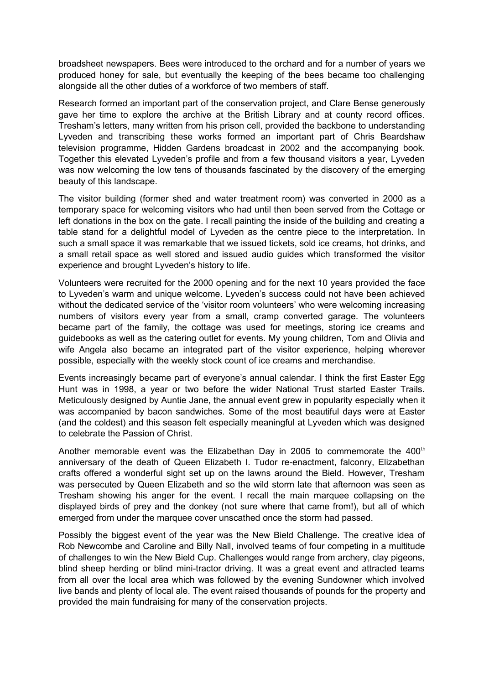broadsheet newspapers. Bees were introduced to the orchard and for a number of years we produced honey for sale, but eventually the keeping of the bees became too challenging alongside all the other duties of a workforce of two members of staff.

Research formed an important part of the conservation project, and Clare Bense generously gave her time to explore the archive at the British Library and at county record offices. Tresham's letters, many written from his prison cell, provided the backbone to understanding Lyveden and transcribing these works formed an important part of Chris Beardshaw television programme, Hidden Gardens broadcast in 2002 and the accompanying book. Together this elevated Lyveden's profile and from a few thousand visitors a year, Lyveden was now welcoming the low tens of thousands fascinated by the discovery of the emerging beauty of this landscape.

The visitor building (former shed and water treatment room) was converted in 2000 as a temporary space for welcoming visitors who had until then been served from the Cottage or left donations in the box on the gate. I recall painting the inside of the building and creating a table stand for a delightful model of Lyveden as the centre piece to the interpretation. In such a small space it was remarkable that we issued tickets, sold ice creams, hot drinks, and a small retail space as well stored and issued audio guides which transformed the visitor experience and brought Lyveden's history to life.

Volunteers were recruited for the 2000 opening and for the next 10 years provided the face to Lyveden's warm and unique welcome. Lyveden's success could not have been achieved without the dedicated service of the 'visitor room volunteers' who were welcoming increasing numbers of visitors every year from a small, cramp converted garage. The volunteers became part of the family, the cottage was used for meetings, storing ice creams and guidebooks as well as the catering outlet for events. My young children, Tom and Olivia and wife Angela also became an integrated part of the visitor experience, helping wherever possible, especially with the weekly stock count of ice creams and merchandise.

Events increasingly became part of everyone's annual calendar. I think the first Easter Egg Hunt was in 1998, a year or two before the wider National Trust started Easter Trails. Meticulously designed by Auntie Jane, the annual event grew in popularity especially when it was accompanied by bacon sandwiches. Some of the most beautiful days were at Easter (and the coldest) and this season felt especially meaningful at Lyveden which was designed to celebrate the Passion of Christ.

Another memorable event was the Elizabethan Day in 2005 to commemorate the  $400<sup>th</sup>$ anniversary of the death of Queen Elizabeth I. Tudor re-enactment, falconry, Elizabethan crafts offered a wonderful sight set up on the lawns around the Bield. However, Tresham was persecuted by Queen Elizabeth and so the wild storm late that afternoon was seen as Tresham showing his anger for the event. I recall the main marquee collapsing on the displayed birds of prey and the donkey (not sure where that came from!), but all of which emerged from under the marquee cover unscathed once the storm had passed.

Possibly the biggest event of the year was the New Bield Challenge. The creative idea of Rob Newcombe and Caroline and Billy Nall, involved teams of four competing in a multitude of challenges to win the New Bield Cup. Challenges would range from archery, clay pigeons, blind sheep herding or blind mini-tractor driving. It was a great event and attracted teams from all over the local area which was followed by the evening Sundowner which involved live bands and plenty of local ale. The event raised thousands of pounds for the property and provided the main fundraising for many of the conservation projects.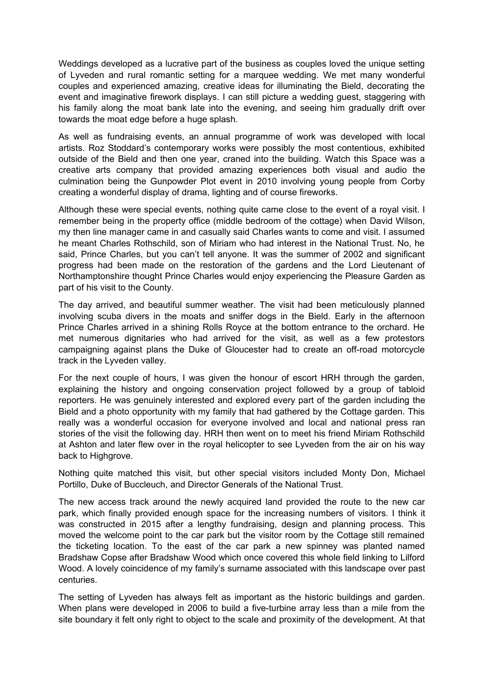Weddings developed as a lucrative part of the business as couples loved the unique setting of Lyveden and rural romantic setting for a marquee wedding. We met many wonderful couples and experienced amazing, creative ideas for illuminating the Bield, decorating the event and imaginative firework displays. I can still picture a wedding guest, staggering with his family along the moat bank late into the evening, and seeing him gradually drift over towards the moat edge before a huge splash.

As well as fundraising events, an annual programme of work was developed with local artists. Roz Stoddard's contemporary works were possibly the most contentious, exhibited outside of the Bield and then one year, craned into the building. Watch this Space was a creative arts company that provided amazing experiences both visual and audio the culmination being the Gunpowder Plot event in 2010 involving young people from Corby creating a wonderful display of drama, lighting and of course fireworks.

Although these were special events, nothing quite came close to the event of a royal visit. I remember being in the property office (middle bedroom of the cottage) when David Wilson, my then line manager came in and casually said Charles wants to come and visit. I assumed he meant Charles Rothschild, son of Miriam who had interest in the National Trust. No, he said, Prince Charles, but you can't tell anyone. It was the summer of 2002 and significant progress had been made on the restoration of the gardens and the Lord Lieutenant of Northamptonshire thought Prince Charles would enjoy experiencing the Pleasure Garden as part of his visit to the County.

The day arrived, and beautiful summer weather. The visit had been meticulously planned involving scuba divers in the moats and sniffer dogs in the Bield. Early in the afternoon Prince Charles arrived in a shining Rolls Royce at the bottom entrance to the orchard. He met numerous dignitaries who had arrived for the visit, as well as a few protestors campaigning against plans the Duke of Gloucester had to create an off-road motorcycle track in the Lyveden valley.

For the next couple of hours, I was given the honour of escort HRH through the garden, explaining the history and ongoing conservation project followed by a group of tabloid reporters. He was genuinely interested and explored every part of the garden including the Bield and a photo opportunity with my family that had gathered by the Cottage garden. This really was a wonderful occasion for everyone involved and local and national press ran stories of the visit the following day. HRH then went on to meet his friend Miriam Rothschild at Ashton and later flew over in the royal helicopter to see Lyveden from the air on his way back to Highgrove.

Nothing quite matched this visit, but other special visitors included Monty Don, Michael Portillo, Duke of Buccleuch, and Director Generals of the National Trust.

The new access track around the newly acquired land provided the route to the new car park, which finally provided enough space for the increasing numbers of visitors. I think it was constructed in 2015 after a lengthy fundraising, design and planning process. This moved the welcome point to the car park but the visitor room by the Cottage still remained the ticketing location. To the east of the car park a new spinney was planted named Bradshaw Copse after Bradshaw Wood which once covered this whole field linking to Lilford Wood. A lovely coincidence of my family's surname associated with this landscape over past centuries.

The setting of Lyveden has always felt as important as the historic buildings and garden. When plans were developed in 2006 to build a five-turbine array less than a mile from the site boundary it felt only right to object to the scale and proximity of the development. At that